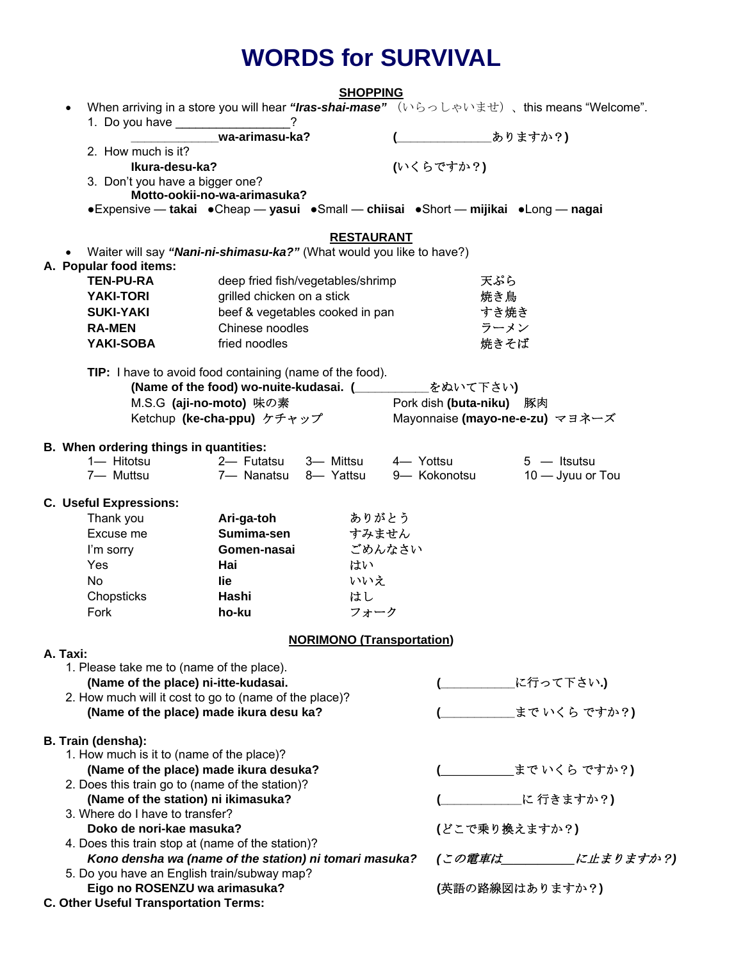# **WORDS for SURVIVAL**

|                                            |                                                                                          | <b>SHOPPING</b>                  |                                 |                      |
|--------------------------------------------|------------------------------------------------------------------------------------------|----------------------------------|---------------------------------|----------------------|
|                                            | When arriving in a store you will hear "Iras-shai-mase" (いらっしゃいませ)、this means "Welcome". |                                  |                                 |                      |
|                                            | 1. Do you have __________________<br>wa-arimasu-ka?                                      |                                  | <b>____ありますか?)</b>              |                      |
| 2. How much is it?                         |                                                                                          |                                  |                                 |                      |
|                                            | Ikura-desu-ka?                                                                           |                                  | (いくらですか?)                       |                      |
|                                            | 3. Don't you have a bigger one?                                                          |                                  |                                 |                      |
|                                            | Motto-ookii-no-wa-arimasuka?                                                             |                                  |                                 |                      |
|                                            | •Expensive — takai •Cheap — yasui •Small — chiisai •Short — mijikai •Long — nagai        |                                  |                                 |                      |
|                                            |                                                                                          |                                  |                                 |                      |
|                                            |                                                                                          | <b>RESTAURANT</b>                |                                 |                      |
|                                            | Waiter will say "Nani-ni-shimasu-ka?" (What would you like to have?)                     |                                  |                                 |                      |
| A. Popular food items:<br><b>TEN-PU-RA</b> |                                                                                          |                                  |                                 |                      |
|                                            | deep fried fish/vegetables/shrimp                                                        |                                  | 天ぷら                             |                      |
| <b>YAKI-TORI</b>                           | grilled chicken on a stick                                                               |                                  | 焼き鳥                             |                      |
| <b>SUKI-YAKI</b>                           | beef & vegetables cooked in pan                                                          |                                  | すき焼き                            |                      |
| <b>RA-MEN</b>                              | Chinese noodles                                                                          |                                  | ラーメン                            |                      |
| <b>YAKI-SOBA</b>                           | fried noodles                                                                            |                                  | 焼きそば                            |                      |
|                                            | TIP: I have to avoid food containing (name of the food).                                 |                                  |                                 |                      |
|                                            | (Name of the food) wo-nuite-kudasai. (___________                                        |                                  | をぬいて下さい)                        |                      |
|                                            | M.S.G (aji-no-moto) 味の素                                                                  |                                  | Pork dish (buta-niku) 豚肉        |                      |
|                                            | Ketchup (ke-cha-ppu) ケチャップ                                                               |                                  | Mayonnaise (mayo-ne-e-zu) マヨネーズ |                      |
|                                            |                                                                                          |                                  |                                 |                      |
|                                            | B. When ordering things in quantities:                                                   |                                  |                                 |                      |
|                                            | 1-Hitotsu 2-Futatsu                                                                      | 3- Mittsu                        | 4-Yottsu                        | $5 -$ Itsutsu        |
| 7- Muttsu                                  | 7- Nanatsu 8- Yattsu                                                                     |                                  | 9- Kokonotsu                    | 10 - Jyuu or Tou     |
|                                            |                                                                                          |                                  |                                 |                      |
| <b>C. Useful Expressions:</b><br>Thank you | Ari-ga-toh                                                                               | ありがとう                            |                                 |                      |
| Excuse me                                  | Sumima-sen                                                                               | すみません                            |                                 |                      |
| I'm sorry                                  | Gomen-nasai                                                                              | ごめんなさい                           |                                 |                      |
| Yes                                        | Hai                                                                                      | はい                               |                                 |                      |
| <b>No</b>                                  | lie                                                                                      | いいえ                              |                                 |                      |
| Chopsticks                                 | Hashi                                                                                    | はし                               |                                 |                      |
| Fork                                       | ho-ku                                                                                    | フォーク                             |                                 |                      |
|                                            |                                                                                          |                                  |                                 |                      |
|                                            |                                                                                          | <b>NORIMONO (Transportation)</b> |                                 |                      |
| A. Taxi:                                   |                                                                                          |                                  |                                 |                      |
|                                            | 1. Please take me to (name of the place).                                                |                                  |                                 |                      |
|                                            | (Name of the place) ni-itte-kudasai.                                                     |                                  |                                 | <b>_に行って下さい.)</b>    |
|                                            | 2. How much will it cost to go to (name of the place)?                                   |                                  |                                 |                      |
|                                            | (Name of the place) made ikura desu ka?                                                  |                                  |                                 | まで いくら ですか?)         |
| <b>B. Train (densha):</b>                  |                                                                                          |                                  |                                 |                      |
|                                            | 1. How much is it to (name of the place)?                                                |                                  |                                 |                      |
|                                            | (Name of the place) made ikura desuka?                                                   |                                  |                                 | _まで いくら ですか?)        |
|                                            | 2. Does this train go to (name of the station)?                                          |                                  |                                 |                      |
|                                            | (Name of the station) ni ikimasuka?                                                      |                                  |                                 | _に 行きますか?)           |
|                                            | 3. Where do I have to transfer?                                                          |                                  |                                 |                      |
|                                            | Doko de nori-kae masuka?                                                                 |                                  | (どこで乗り換えますか?)                   |                      |
|                                            | 4. Does this train stop at (name of the station)?                                        |                                  |                                 |                      |
|                                            | Kono densha wa (name of the station) ni tomari masuka?                                   |                                  |                                 | (この電車は_____に止まりますか?) |
|                                            | 5. Do you have an English train/subway map?                                              |                                  |                                 |                      |
|                                            | Eigo no ROSENZU wa arimasuka?                                                            |                                  | (英語の路線図はありますか?)                 |                      |
|                                            | <b>C. Other Useful Transportation Terms:</b>                                             |                                  |                                 |                      |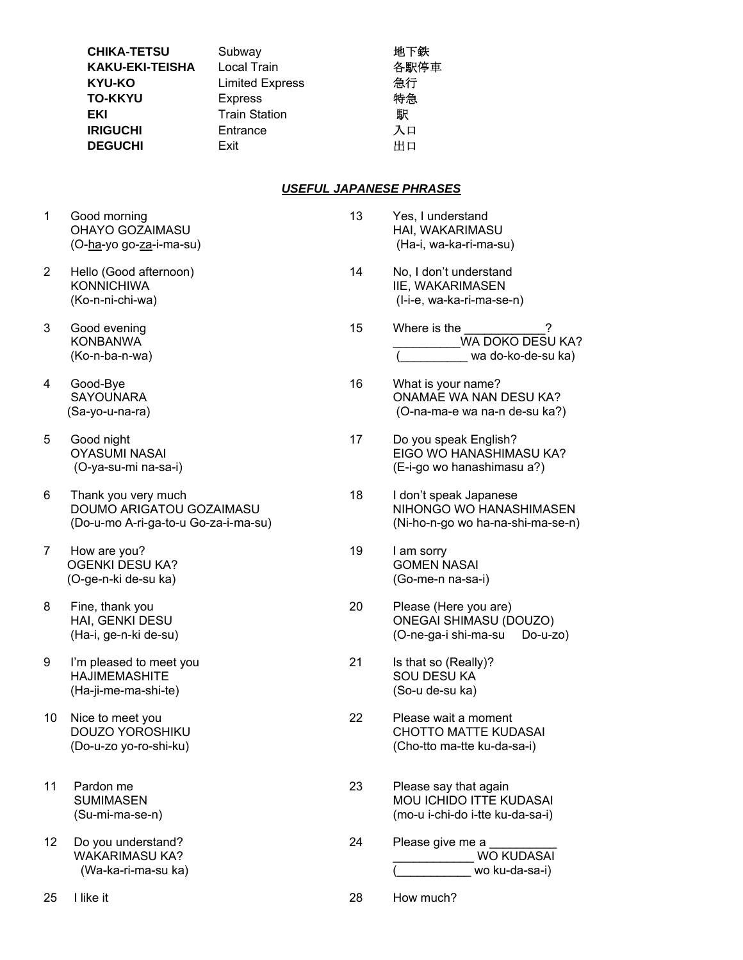| Subway                 | 地下鉄  |
|------------------------|------|
| Local Train            | 各駅停車 |
| <b>Limited Express</b> | 急行   |
| <b>Express</b>         | 特急   |
| <b>Train Station</b>   | 駅    |
| Entrance               | 入口   |
| Exit                   | 出口   |
|                        |      |

#### *USEFUL JAPANESE PHRASES*

13 Yes, I understand

| Good morning            |
|-------------------------|
| OHAYO GOZAIMASU         |
| (O-ha-yo go-za-i-ma-su) |

- 2 Hello (Good afternoon) 14 No, I don't understand KONNICHIWA IIE, WAKARIMASEN
- 
- 4 Good-Bye 16 What is your name?
- 5 Good night 17 Do you speak English?
- 
- 7 How are you? The same state of the state of the state of the state of the state of the state of the state of the state of the state of the state of the state of the state of the state of the state of the state of the sta OGENKI DESU KA? GOMEN NASAI
- 
- 9 I'm pleased to meet you 21 Is that so (Really)? HAJIMEMASHITE SOU DESU KA (Ha-ji-me-ma-shi-te) (So-u de-su ka)
- 
- 11 Pardon me 23 Please say that again SUMIMASEN MOU ICHIDO ITTE KUDASAI (Su-mi-ma-se-n) (mo-u i-chi-do i-tte ku-da-sa-i)
- 12 Do you understand? The same control of the set of the Please give me a

- HAI, WAKARIMASU (Ha-i, wa-ka-ri-ma-su) (Ko-n-ni-chi-wa) (I-i-e, wa-ka-ri-ma-se-n) 3 Good evening 15 Where is the KONBANWA ZA KONBANWA WA DOKO DESU KA? (Ko-n-ba-n-wa) (\_\_\_\_\_\_\_\_\_\_ wa do-ko-de-su ka) SAYOUNARA ONAMAE WA NAN DESU KA? (Sa-yo-u-na-ra) (O-na-ma-e wa na-n de-su ka?) OYASUMI NASAI EIGO WO HANASHIMASU KA? (O-ya-su-mi na-sa-i) (E-i-go wo hanashimasu a?) 6 Thank you very much 18 I don't speak Japanese DOUMO ARIGATOU GOZAIMASU NIHONGO WO HANASHIMASEN (Do-u-mo A-ri-ga-to-u Go-za-i-ma-su) (Ni-ho-n-go wo ha-na-shi-ma-se-n) (O-ge-n-ki de-su ka) (Go-me-n na-sa-i) 8 Fine, thank you **20** Please (Here you are) HAI, GENKI DESU ONEGAI SHIMASU (DOUZO) (Ha-i, ge-n-ki de-su) (O-ne-ga-i shi-ma-su Do-u-zo)
- 10 Nice to meet you 22 Please wait a moment DOUZO YOROSHIKU CHOTTO MATTE KUDASAI (Do-u-zo yo-ro-shi-ku) (Cho-tto ma-tte ku-da-sa-i)
	-
	- WAKARIMASU KA? \_\_\_\_\_\_\_\_\_\_\_\_ WO KUDASAI (Wa-ka-ri-ma-su ka) (\_\_\_\_\_\_\_\_\_\_\_ wo ku-da-sa-i)
- 25 I like it 28 How much?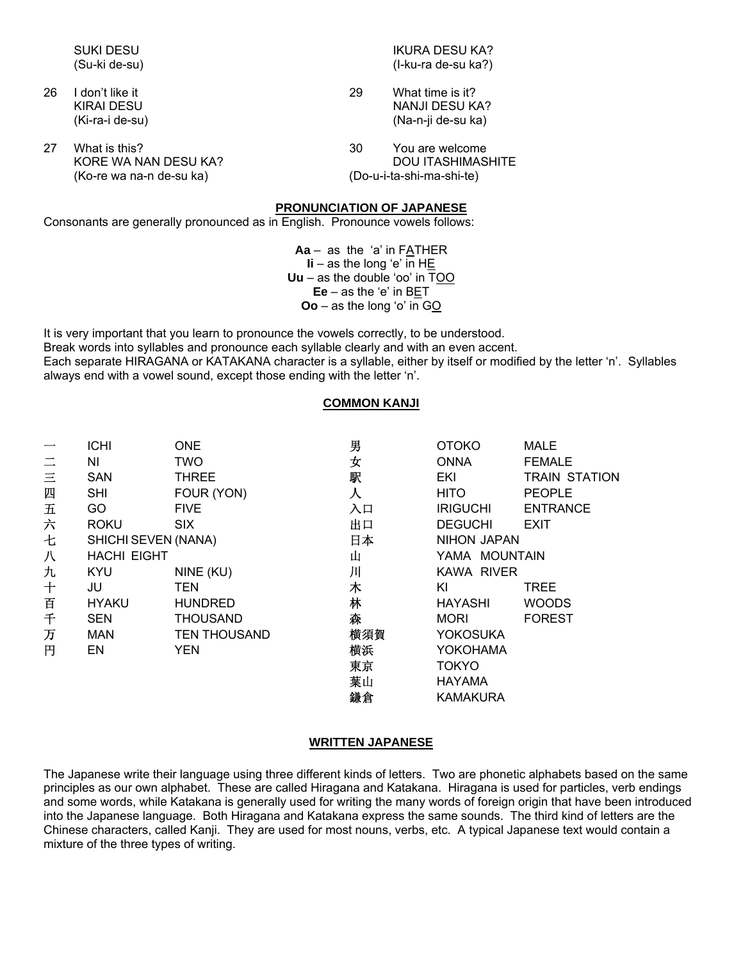|    | <b>SUKI DESU</b><br>(Su-ki de-su)                                 |                                  | IKURA DESU KA?<br>(I-ku-ra de-su ka?)                                    |
|----|-------------------------------------------------------------------|----------------------------------|--------------------------------------------------------------------------|
| 26 | I don't like it<br>KIRAI DESU<br>(Ki-ra-i de-su)                  | 29                               | What time is it?<br>NANJI DESU KA?<br>(Na-n-ji de-su ka)                 |
| 27 | What is this?<br>KORE WA NAN DESU KA?<br>(Ko-re wa na-n de-su ka) | 30                               | You are welcome<br><b>DOU ITASHIMASHITE</b><br>(Do-u-i-ta-shi-ma-shi-te) |
|    |                                                                   | <b>PRONUNCIATION OF JAPANESE</b> |                                                                          |

Consonants are generally pronounced as in English. Pronounce vowels follows:

**Aa** – as the 'a' in FATHER  $Ii - as$  the long 'e' in H $E$ **Uu** – as the double 'oo' in TOO **Ee** – as the 'e' in BET **Oo** – as the long 'o' in GO

It is very important that you learn to pronounce the vowels correctly, to be understood. Break words into syllables and pronounce each syllable clearly and with an even accent. Each separate HIRAGANA or KATAKANA character is a syllable, either by itself or modified by the letter 'n'. Syllables always end with a vowel sound, except those ending with the letter 'n'.

### **COMMON KANJI**

|          | <b>ICHI</b>         | <b>ONE</b>          | 男   | <b>OTOKO</b>       | <b>MALE</b>          |
|----------|---------------------|---------------------|-----|--------------------|----------------------|
| $\equiv$ | ΝI                  | <b>TWO</b>          | 女   | <b>ONNA</b>        | <b>FEMALE</b>        |
| $\equiv$ | <b>SAN</b>          | <b>THREE</b>        | 駅   | EKI                | <b>TRAIN STATION</b> |
| 四        | <b>SHI</b>          | FOUR (YON)          | 人   | <b>HITO</b>        | <b>PEOPLE</b>        |
| 五        | GO                  | <b>FIVE</b>         | 入口  | <b>IRIGUCHI</b>    | <b>ENTRANCE</b>      |
| 六        | <b>ROKU</b>         | <b>SIX</b>          | 出口  | <b>DEGUCHI</b>     | <b>EXIT</b>          |
| 七        | SHICHI SEVEN (NANA) |                     | 日本  | <b>NIHON JAPAN</b> |                      |
| 八        | <b>HACHI EIGHT</b>  |                     | 山   | YAMA MOUNTAIN      |                      |
| 九        | KYU                 | NINE (KU)           | 川   | KAWA RIVER         |                      |
| $\pm$    | JU                  | <b>TEN</b>          | 木   | ΚI                 | <b>TREE</b>          |
| 百        | <b>HYAKU</b>        | <b>HUNDRED</b>      | 林   | <b>HAYASHI</b>     | <b>WOODS</b>         |
| 千        | <b>SEN</b>          | <b>THOUSAND</b>     | 森   | <b>MORI</b>        | <b>FOREST</b>        |
| 万        | <b>MAN</b>          | <b>TEN THOUSAND</b> | 横須賀 | <b>YOKOSUKA</b>    |                      |
| 円        | EN                  | <b>YEN</b>          | 横浜  | YOKOHAMA           |                      |
|          |                     |                     | 東京  | <b>TOKYO</b>       |                      |
|          |                     |                     | 葉山  | <b>HAYAMA</b>      |                      |
|          |                     |                     | 鎌倉  | <b>KAMAKURA</b>    |                      |

#### **WRITTEN JAPANESE**

The Japanese write their language using three different kinds of letters. Two are phonetic alphabets based on the same principles as our own alphabet. These are called Hiragana and Katakana. Hiragana is used for particles, verb endings and some words, while Katakana is generally used for writing the many words of foreign origin that have been introduced into the Japanese language. Both Hiragana and Katakana express the same sounds. The third kind of letters are the Chinese characters, called Kanji. They are used for most nouns, verbs, etc. A typical Japanese text would contain a mixture of the three types of writing.